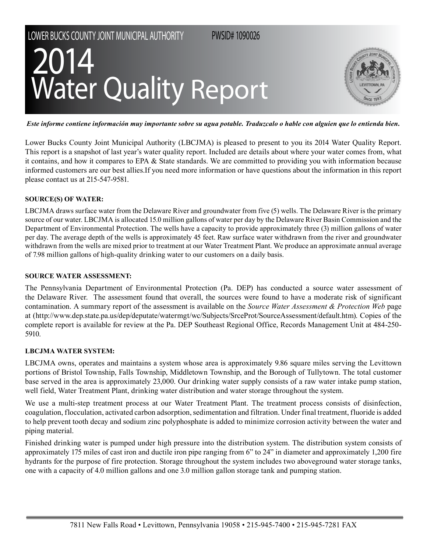# 2014 Water Quality Report LOWER BUCKS COUNTY JOINT MUNICIPAL AUTHORITY PWSID# 1090026



*Este informe contiene información muy importante sobre su agua potable. Traduzcalo o hable con alguien que lo entienda bien.*

Lower Bucks County Joint Municipal Authority (LBCJMA) is pleased to present to you its 2014 Water Quality Report. This report is a snapshot of last year's water quality report. Included are details about where your water comes from, what it contains, and how it compares to EPA & State standards. We are committed to providing you with information because informed customers are our best allies.If you need more information or have questions about the information in this report please contact us at 215-547-9581.

#### **SOURCE(S) OF WATER:**

LBCJMA draws surface water from the Delaware River and groundwater from five (5) wells. The Delaware River is the primary source of our water. LBCJMA is allocated 15.0 million gallons of water per day by the Delaware River Basin Commission and the Department of Environmental Protection. The wells have a capacity to provide approximately three (3) million gallons of water per day. The average depth of the wells is approximately 45 feet. Raw surface water withdrawn from the river and groundwater withdrawn from the wells are mixed prior to treatment at our Water Treatment Plant. We produce an approximate annual average of 7.98 million gallons of high-quality drinking water to our customers on a daily basis.

#### **SOURCE WATER ASSESSMENT:**

The Pennsylvania Department of Environmental Protection (Pa. DEP) has conducted a source water assessment of the Delaware River. The assessment found that overall, the sources were found to have a moderate risk of significant contamination. A summary report of the assessment is available on the *Source Water Assessment & Protection Web* page at (http://www.dep.state.pa.us/dep/deputate/watermgt/wc/Subjects/SrceProt/SourceAssessment/default.htm). Copies of the complete report is available for review at the Pa. DEP Southeast Regional Office, Records Management Unit at 484-250- 5910.

## **LBCJMA WATER SYSTEM:**

LBCJMA owns, operates and maintains a system whose area is approximately 9.86 square miles serving the Levittown portions of Bristol Township, Falls Township, Middletown Township, and the Borough of Tullytown. The total customer base served in the area is approximately 23,000. Our drinking water supply consists of a raw water intake pump station, well field, Water Treatment Plant, drinking water distribution and water storage throughout the system.

We use a multi-step treatment process at our Water Treatment Plant. The treatment process consists of disinfection, coagulation, flocculation, activated carbon adsorption, sedimentation and filtration. Under final treatment, fluoride is added to help prevent tooth decay and sodium zinc polyphosphate is added to minimize corrosion activity between the water and piping material.

Finished drinking water is pumped under high pressure into the distribution system. The distribution system consists of approximately 175 miles of cast iron and ductile iron pipe ranging from 6" to 24" in diameter and approximately 1,200 fire hydrants for the purpose of fire protection. Storage throughout the system includes two aboveground water storage tanks, one with a capacity of 4.0 million gallons and one 3.0 million gallon storage tank and pumping station.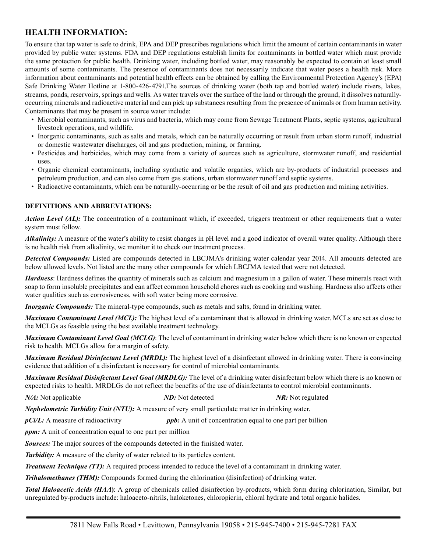# **HEALTH INFORMATION:**

To ensure that tap water is safe to drink, EPA and DEP prescribes regulations which limit the amount of certain contaminants in water provided by public water systems. FDA and DEP regulations establish limits for contaminants in bottled water which must provide the same protection for public health. Drinking water, including bottled water, may reasonably be expected to contain at least small amounts of some contaminants. The presence of contaminants does not necessarily indicate that water poses a health risk. More information about contaminants and potential health effects can be obtained by calling the Environmental Protection Agency's (EPA) Safe Drinking Water Hotline at 1-800-426-4791.The sources of drinking water (both tap and bottled water) include rivers, lakes, streams, ponds, reservoirs, springs and wells. As water travels over the surface of the land or through the ground, it dissolves naturallyoccurring minerals and radioactive material and can pick up substances resulting from the presence of animals or from human activity. Contaminants that may be present in source water include:

- Microbial contaminants, such as virus and bacteria, which may come from Sewage Treatment Plants, septic systems, agricultural livestock operations, and wildlife.
- Inorganic contaminants, such as salts and metals, which can be naturally occurring or result from urban storm runoff, industrial or domestic wastewater discharges, oil and gas production, mining, or farming.
- Pesticides and herbicides, which may come from a variety of sources such as agriculture, stormwater runoff, and residential uses.
- Organic chemical contaminants, including synthetic and volatile organics, which are by-products of industrial processes and petroleum production, and can also come from gas stations, urban stormwater runoff and septic systems.
- Radioactive contaminants, which can be naturally-occurring or be the result of oil and gas production and mining activities.

#### **DEFINITIONS AND ABBREVIATIONS:**

*Action Level (AL):* The concentration of a contaminant which, if exceeded, triggers treatment or other requirements that a water system must follow.

*Alkalinity:* A measure of the water's ability to resist changes in pH level and a good indicator of overall water quality. Although there is no health risk from alkalinity, we monitor it to check our treatment process.

*Detected Compounds:* Listed are compounds detected in LBCJMA's drinking water calendar year 2014. All amounts detected are below allowed levels. Not listed are the many other compounds for which LBCJMA tested that were not detected.

*Hardness*: Hardness defines the quantity of minerals such as calcium and magnesium in a gallon of water. These minerals react with soap to form insoluble precipitates and can affect common household chores such as cooking and washing. Hardness also affects other water qualities such as corrosiveness, with soft water being more corrosive.

*Inorganic Compounds:* The mineral-type compounds, such as metals and salts, found in drinking water.

*Maximum Contaminant Level (MCL):* The highest level of a contaminant that is allowed in drinking water. MCLs are set as close to the MCLGs as feasible using the best available treatment technology.

*Maximum Contaminant Level Goal (MCLG)*: The level of contaminant in drinking water below which there is no known or expected risk to health. MCLGs allow for a margin of safety.

*Maximum Residual Disinfectant Level (MRDL):* The highest level of a disinfectant allowed in drinking water. There is convincing evidence that addition of a disinfectant is necessary for control of microbial contaminants.

*Maximum Residual Disinfectant Level Goal (MRDLG):* The level of a drinking water disinfectant below which there is no known or expected risks to health. MRDLGs do not reflect the benefits of the use of disinfectants to control microbial contaminants.

*N/A:* Not applicable *ND:* Not detected *NR:* Not regulated

*Nephelometric Turbidity Unit (NTU):* A measure of very small particulate matter in drinking water.

*pCi/L:* A measure of radioactivity *ppb:* A unit of concentration equal to one part per billion

*ppm:* A unit of concentration equal to one part per million

*Sources:* The major sources of the compounds detected in the finished water.

*Turbidity:* A measure of the clarity of water related to its particles content.

*Treatment Technique (TT):* A required process intended to reduce the level of a contaminant in drinking water.

*Trihalomethanes (THM):* Compounds formed during the chlorination (disinfection) of drinking water.

*Total Haloacetic Acids (HAA***)**: A group of chemicals called disinfection by-products, which form during chlorination, Similar, but unregulated by-products include: haloaceto-nitrils, haloketones, chloropicrin, chloral hydrate and total organic halides.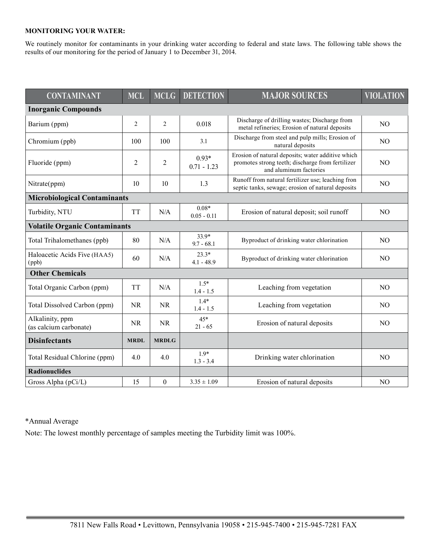#### **MONITORING YOUR WATER:**

We routinely monitor for contaminants in your drinking water according to federal and state laws. The following table shows the results of our monitoring for the period of January 1 to December 31, 2014.

| <b>CONTAMINANT</b>                        | <b>MCL</b>     | <b>MCLG</b>      | <b>DETECTION</b>         | <b>MAJOR SOURCES</b>                                                                                                            | <b>VIOLATION</b> |
|-------------------------------------------|----------------|------------------|--------------------------|---------------------------------------------------------------------------------------------------------------------------------|------------------|
| <b>Inorganic Compounds</b>                |                |                  |                          |                                                                                                                                 |                  |
| Barium (ppm)                              | $\overline{2}$ | $\overline{2}$   | 0.018                    | Discharge of drilling wastes; Discharge from<br>metal refineries; Erosion of natural deposits                                   | NO               |
| Chromium (ppb)                            | 100            | 100              | 3.1                      | Discharge from steel and pulp mills; Erosion of<br>natural deposits                                                             | NO               |
| Fluoride (ppm)                            | $\overline{2}$ | $\overline{2}$   | $0.93*$<br>$0.71 - 1.23$ | Erosion of natural deposits; water additive which<br>promotes strong teeth; discharge from fertilizer<br>and aluminum factories | NO               |
| Nitrate(ppm)                              | 10             | 10               | 1.3                      | Runoff from natural fertilizer use; leaching fron<br>septic tanks, sewage; erosion of natural deposits                          | NO               |
| <b>Microbiological Contaminants</b>       |                |                  |                          |                                                                                                                                 |                  |
| Turbidity, NTU                            | <b>TT</b>      | N/A              | $0.08*$<br>$0.05 - 0.11$ | Erosion of natural deposit; soil runoff                                                                                         | N <sub>O</sub>   |
| <b>Volatile Organic Contaminants</b>      |                |                  |                          |                                                                                                                                 |                  |
| Total Trihalomethanes (ppb)               | 80             | N/A              | $33.9*$<br>$9.7 - 68.1$  | Byproduct of drinking water chlorination                                                                                        | NO               |
| Haloacetic Acids Five (HAA5)<br>(ppb)     | 60             | N/A              | $23.3*$<br>$4.1 - 48.9$  | Byproduct of drinking water chlorination                                                                                        | N <sub>O</sub>   |
| <b>Other Chemicals</b>                    |                |                  |                          |                                                                                                                                 |                  |
| Total Organic Carbon (ppm)                | <b>TT</b>      | N/A              | $1.5*$<br>$1.4 - 1.5$    | Leaching from vegetation                                                                                                        | NO               |
| Total Dissolved Carbon (ppm)              | <b>NR</b>      | <b>NR</b>        | $1.4*$<br>$1.4 - 1.5$    | Leaching from vegetation                                                                                                        | NO               |
| Alkalinity, ppm<br>(as calcium carbonate) | <b>NR</b>      | <b>NR</b>        | $45*$<br>$21 - 65$       | Erosion of natural deposits                                                                                                     | N <sub>O</sub>   |
| <b>Disinfectants</b>                      | <b>MRDL</b>    | <b>MRDLG</b>     |                          |                                                                                                                                 |                  |
| Total Residual Chlorine (ppm)             | 4.0            | 4.0              | $1.9*$<br>$1.3 - 3.4$    | Drinking water chlorination                                                                                                     | NO               |
| <b>Radionuclides</b>                      |                |                  |                          |                                                                                                                                 |                  |
| Gross Alpha (pCi/L)                       | 15             | $\boldsymbol{0}$ | $3.35 \pm 1.09$          | Erosion of natural deposits                                                                                                     | NO               |

#### \*Annual Average

Note: The lowest monthly percentage of samples meeting the Turbidity limit was 100%.